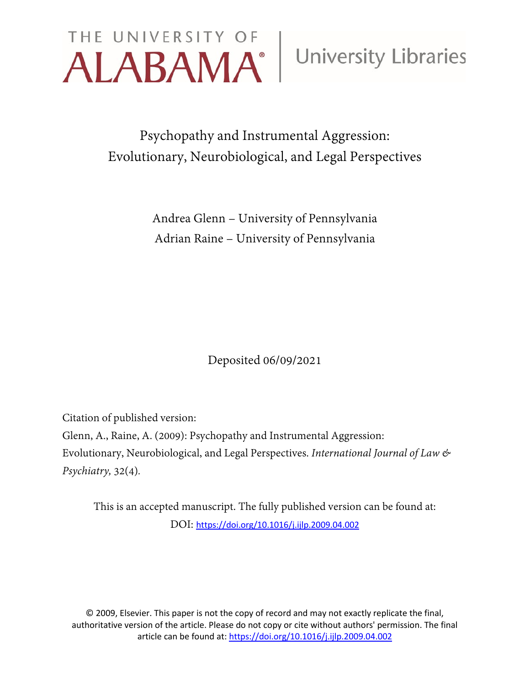

Psychopathy and Instrumental Aggression: Evolutionary, Neurobiological, and Legal Perspectives

> Andrea Glenn – University of Pennsylvania Adrian Raine – University of Pennsylvania

> > Deposited 06/09/2021

Citation of published version:

Glenn, A., Raine, A. (2009): Psychopathy and Instrumental Aggression: Evolutionary, Neurobiological, and Legal Perspectives. *International Journal of Law & Psychiatry,* 32(4)*.*

This is an accepted manuscript. The fully published version can be found at: DOI: <https://doi.org/10.1016/j.ijlp.2009.04.002>

© 2009, Elsevier. This paper is not the copy of record and may not exactly replicate the final, authoritative version of the article. Please do not copy or cite without authors' permission. The final article can be found at[: https://doi.org/10.1016/j.ijlp.2009.04.002](https://doi.org/10.1016/j.ijlp.2009.04.002)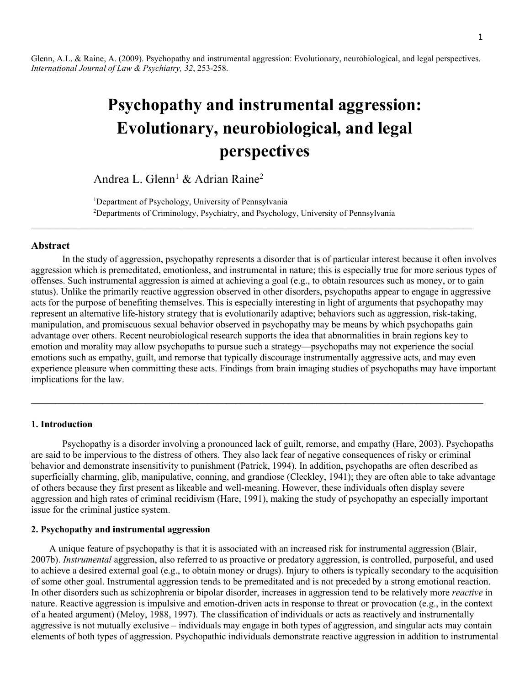Glenn, A.L. & Raine, A. (2009). Psychopathy and instrumental aggression: Evolutionary, neurobiological, and legal perspectives. *International Journal of Law & Psychiatry, 32*, 253-258.

# **Psychopathy and instrumental aggression: Evolutionary, neurobiological, and legal perspectives**

Andrea L. Glenn<sup>1</sup> & Adrian Raine<sup>2</sup>

<sup>1</sup>Department of Psychology, University of Pennsylvania 2 Departments of Criminology, Psychiatry, and Psychology, University of Pennsylvania

 $\mathcal{L}_\mathcal{L} = \{ \mathcal{L}_\mathcal{L} = \{ \mathcal{L}_\mathcal{L} = \{ \mathcal{L}_\mathcal{L} = \{ \mathcal{L}_\mathcal{L} = \{ \mathcal{L}_\mathcal{L} = \{ \mathcal{L}_\mathcal{L} = \{ \mathcal{L}_\mathcal{L} = \{ \mathcal{L}_\mathcal{L} = \{ \mathcal{L}_\mathcal{L} = \{ \mathcal{L}_\mathcal{L} = \{ \mathcal{L}_\mathcal{L} = \{ \mathcal{L}_\mathcal{L} = \{ \mathcal{L}_\mathcal{L} = \{ \mathcal{L}_\mathcal{$ 

#### **Abstract**

In the study of aggression, psychopathy represents a disorder that is of particular interest because it often involves aggression which is premeditated, emotionless, and instrumental in nature; this is especially true for more serious types of offenses. Such instrumental aggression is aimed at achieving a goal (e.g., to obtain resources such as money, or to gain status). Unlike the primarily reactive aggression observed in other disorders, psychopaths appear to engage in aggressive acts for the purpose of benefiting themselves. This is especially interesting in light of arguments that psychopathy may represent an alternative life-history strategy that is evolutionarily adaptive; behaviors such as aggression, risk-taking, manipulation, and promiscuous sexual behavior observed in psychopathy may be means by which psychopaths gain advantage over others. Recent neurobiological research supports the idea that abnormalities in brain regions key to emotion and morality may allow psychopaths to pursue such a strategy—psychopaths may not experience the social emotions such as empathy, guilt, and remorse that typically discourage instrumentally aggressive acts, and may even experience pleasure when committing these acts. Findings from brain imaging studies of psychopaths may have important implications for the law.

# **1. Introduction**

Psychopathy is a disorder involving a pronounced lack of guilt, remorse, and empathy (Hare, 2003). Psychopaths are said to be impervious to the distress of others. They also lack fear of negative consequences of risky or criminal behavior and demonstrate insensitivity to punishment (Patrick, 1994). In addition, psychopaths are often described as superficially charming, glib, manipulative, conning, and grandiose (Cleckley, 1941); they are often able to take advantage of others because they first present as likeable and well-meaning. However, these individuals often display severe aggression and high rates of criminal recidivism (Hare, 1991), making the study of psychopathy an especially important issue for the criminal justice system.

**\_\_\_\_\_\_\_\_\_\_\_\_\_\_\_\_\_\_\_\_\_\_\_\_\_\_\_\_\_\_\_\_\_\_\_\_\_\_\_\_\_\_\_\_\_\_\_\_\_\_\_\_\_\_\_\_\_\_\_\_\_\_\_\_\_\_\_\_\_\_\_\_\_\_\_\_\_\_\_\_\_\_\_\_\_\_\_\_\_\_\_\_\_\_\_**

### **2. Psychopathy and instrumental aggression**

A unique feature of psychopathy is that it is associated with an increased risk for instrumental aggression (Blair, 2007b). *Instrumental* aggression, also referred to as proactive or predatory aggression, is controlled, purposeful, and used to achieve a desired external goal (e.g., to obtain money or drugs). Injury to others is typically secondary to the acquisition of some other goal. Instrumental aggression tends to be premeditated and is not preceded by a strong emotional reaction. In other disorders such as schizophrenia or bipolar disorder, increases in aggression tend to be relatively more *reactive* in nature. Reactive aggression is impulsive and emotion-driven acts in response to threat or provocation (e.g., in the context of a heated argument) (Meloy, 1988, 1997). The classification of individuals or acts as reactively and instrumentally aggressive is not mutually exclusive – individuals may engage in both types of aggression, and singular acts may contain elements of both types of aggression. Psychopathic individuals demonstrate reactive aggression in addition to instrumental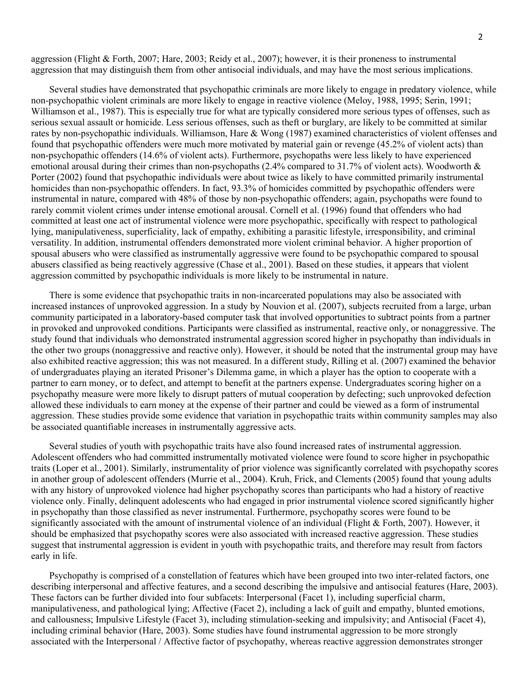aggression (Flight & Forth, 2007; Hare, 2003; Reidy et al., 2007); however, it is their proneness to instrumental aggression that may distinguish them from other antisocial individuals, and may have the most serious implications.

Several studies have demonstrated that psychopathic criminals are more likely to engage in predatory violence, while non-psychopathic violent criminals are more likely to engage in reactive violence (Meloy, 1988, 1995; Serin, 1991; Williamson et al., 1987). This is especially true for what are typically considered more serious types of offenses, such as serious sexual assault or homicide. Less serious offenses, such as theft or burglary, are likely to be committed at similar rates by non-psychopathic individuals. Williamson, Hare & Wong (1987) examined characteristics of violent offenses and found that psychopathic offenders were much more motivated by material gain or revenge (45.2% of violent acts) than non-psychopathic offenders (14.6% of violent acts). Furthermore, psychopaths were less likely to have experienced emotional arousal during their crimes than non-psychopaths (2.4% compared to 31.7% of violent acts). Woodworth & Porter (2002) found that psychopathic individuals were about twice as likely to have committed primarily instrumental homicides than non-psychopathic offenders. In fact, 93.3% of homicides committed by psychopathic offenders were instrumental in nature, compared with 48% of those by non-psychopathic offenders; again, psychopaths were found to rarely commit violent crimes under intense emotional arousal. Cornell et al. (1996) found that offenders who had committed at least one act of instrumental violence were more psychopathic, specifically with respect to pathological lying, manipulativeness, superficiality, lack of empathy, exhibiting a parasitic lifestyle, irresponsibility, and criminal versatility. In addition, instrumental offenders demonstrated more violent criminal behavior. A higher proportion of spousal abusers who were classified as instrumentally aggressive were found to be psychopathic compared to spousal abusers classified as being reactively aggressive (Chase et al., 2001). Based on these studies, it appears that violent aggression committed by psychopathic individuals is more likely to be instrumental in nature.

There is some evidence that psychopathic traits in non-incarcerated populations may also be associated with increased instances of unprovoked aggression. In a study by Nouvion et al. (2007), subjects recruited from a large, urban community participated in a laboratory-based computer task that involved opportunities to subtract points from a partner in provoked and unprovoked conditions. Participants were classified as instrumental, reactive only, or nonaggressive. The study found that individuals who demonstrated instrumental aggression scored higher in psychopathy than individuals in the other two groups (nonaggressive and reactive only). However, it should be noted that the instrumental group may have also exhibited reactive aggression; this was not measured. In a different study, Rilling et al. (2007) examined the behavior of undergraduates playing an iterated Prisoner's Dilemma game, in which a player has the option to cooperate with a partner to earn money, or to defect, and attempt to benefit at the partners expense. Undergraduates scoring higher on a psychopathy measure were more likely to disrupt patters of mutual cooperation by defecting; such unprovoked defection allowed these individuals to earn money at the expense of their partner and could be viewed as a form of instrumental aggression. These studies provide some evidence that variation in psychopathic traits within community samples may also be associated quantifiable increases in instrumentally aggressive acts.

Several studies of youth with psychopathic traits have also found increased rates of instrumental aggression. Adolescent offenders who had committed instrumentally motivated violence were found to score higher in psychopathic traits (Loper et al., 2001). Similarly, instrumentality of prior violence was significantly correlated with psychopathy scores in another group of adolescent offenders (Murrie et al., 2004). Kruh, Frick, and Clements (2005) found that young adults with any history of unprovoked violence had higher psychopathy scores than participants who had a history of reactive violence only. Finally, delinquent adolescents who had engaged in prior instrumental violence scored significantly higher in psychopathy than those classified as never instrumental. Furthermore, psychopathy scores were found to be significantly associated with the amount of instrumental violence of an individual (Flight & Forth, 2007). However, it should be emphasized that psychopathy scores were also associated with increased reactive aggression. These studies suggest that instrumental aggression is evident in youth with psychopathic traits, and therefore may result from factors early in life.

Psychopathy is comprised of a constellation of features which have been grouped into two inter-related factors, one describing interpersonal and affective features, and a second describing the impulsive and antisocial features (Hare, 2003). These factors can be further divided into four subfacets: Interpersonal (Facet 1), including superficial charm, manipulativeness, and pathological lying; Affective (Facet 2), including a lack of guilt and empathy, blunted emotions, and callousness; Impulsive Lifestyle (Facet 3), including stimulation-seeking and impulsivity; and Antisocial (Facet 4), including criminal behavior (Hare, 2003). Some studies have found instrumental aggression to be more strongly associated with the Interpersonal / Affective factor of psychopathy, whereas reactive aggression demonstrates stronger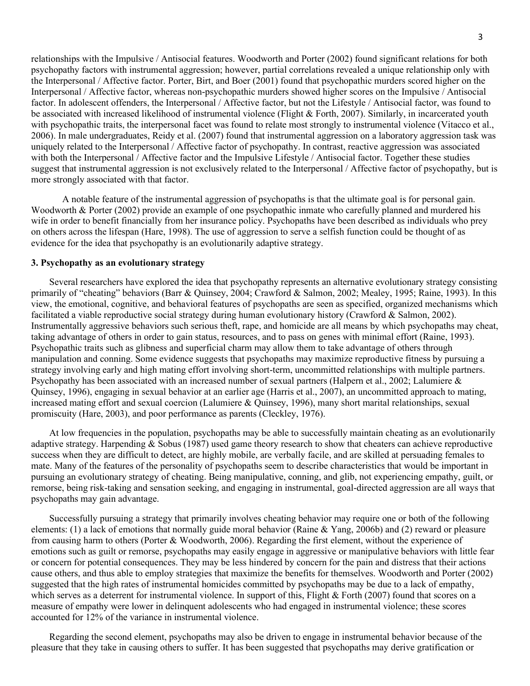relationships with the Impulsive / Antisocial features. Woodworth and Porter (2002) found significant relations for both psychopathy factors with instrumental aggression; however, partial correlations revealed a unique relationship only with the Interpersonal / Affective factor. Porter, Birt, and Boer (2001) found that psychopathic murders scored higher on the Interpersonal / Affective factor, whereas non-psychopathic murders showed higher scores on the Impulsive / Antisocial factor. In adolescent offenders, the Interpersonal / Affective factor, but not the Lifestyle / Antisocial factor, was found to be associated with increased likelihood of instrumental violence (Flight & Forth, 2007). Similarly, in incarcerated youth with psychopathic traits, the interpersonal facet was found to relate most strongly to instrumental violence (Vitacco et al., 2006). In male undergraduates, Reidy et al. (2007) found that instrumental aggression on a laboratory aggression task was uniquely related to the Interpersonal / Affective factor of psychopathy. In contrast, reactive aggression was associated with both the Interpersonal / Affective factor and the Impulsive Lifestyle / Antisocial factor. Together these studies suggest that instrumental aggression is not exclusively related to the Interpersonal / Affective factor of psychopathy, but is more strongly associated with that factor.

A notable feature of the instrumental aggression of psychopaths is that the ultimate goal is for personal gain. Woodworth & Porter (2002) provide an example of one psychopathic inmate who carefully planned and murdered his wife in order to benefit financially from her insurance policy. Psychopaths have been described as individuals who prey on others across the lifespan (Hare, 1998). The use of aggression to serve a selfish function could be thought of as evidence for the idea that psychopathy is an evolutionarily adaptive strategy.

### **3. Psychopathy as an evolutionary strategy**

Several researchers have explored the idea that psychopathy represents an alternative evolutionary strategy consisting primarily of "cheating" behaviors (Barr & Quinsey, 2004; Crawford & Salmon, 2002; Mealey, 1995; Raine, 1993). In this view, the emotional, cognitive, and behavioral features of psychopaths are seen as specified, organized mechanisms which facilitated a viable reproductive social strategy during human evolutionary history (Crawford & Salmon, 2002). Instrumentally aggressive behaviors such serious theft, rape, and homicide are all means by which psychopaths may cheat, taking advantage of others in order to gain status, resources, and to pass on genes with minimal effort (Raine, 1993). Psychopathic traits such as glibness and superficial charm may allow them to take advantage of others through manipulation and conning. Some evidence suggests that psychopaths may maximize reproductive fitness by pursuing a strategy involving early and high mating effort involving short-term, uncommitted relationships with multiple partners. Psychopathy has been associated with an increased number of sexual partners (Halpern et al., 2002; Lalumiere & Quinsey, 1996), engaging in sexual behavior at an earlier age (Harris et al., 2007), an uncommitted approach to mating, increased mating effort and sexual coercion (Lalumiere & Quinsey, 1996), many short marital relationships, sexual promiscuity (Hare, 2003), and poor performance as parents (Cleckley, 1976).

At low frequencies in the population, psychopaths may be able to successfully maintain cheating as an evolutionarily adaptive strategy. Harpending & Sobus (1987) used game theory research to show that cheaters can achieve reproductive success when they are difficult to detect, are highly mobile, are verbally facile, and are skilled at persuading females to mate. Many of the features of the personality of psychopaths seem to describe characteristics that would be important in pursuing an evolutionary strategy of cheating. Being manipulative, conning, and glib, not experiencing empathy, guilt, or remorse, being risk-taking and sensation seeking, and engaging in instrumental, goal-directed aggression are all ways that psychopaths may gain advantage.

Successfully pursuing a strategy that primarily involves cheating behavior may require one or both of the following elements: (1) a lack of emotions that normally guide moral behavior (Raine & Yang, 2006b) and (2) reward or pleasure from causing harm to others (Porter & Woodworth, 2006). Regarding the first element, without the experience of emotions such as guilt or remorse, psychopaths may easily engage in aggressive or manipulative behaviors with little fear or concern for potential consequences. They may be less hindered by concern for the pain and distress that their actions cause others, and thus able to employ strategies that maximize the benefits for themselves. Woodworth and Porter (2002) suggested that the high rates of instrumental homicides committed by psychopaths may be due to a lack of empathy, which serves as a deterrent for instrumental violence. In support of this, Flight & Forth (2007) found that scores on a measure of empathy were lower in delinquent adolescents who had engaged in instrumental violence; these scores accounted for 12% of the variance in instrumental violence.

Regarding the second element, psychopaths may also be driven to engage in instrumental behavior because of the pleasure that they take in causing others to suffer. It has been suggested that psychopaths may derive gratification or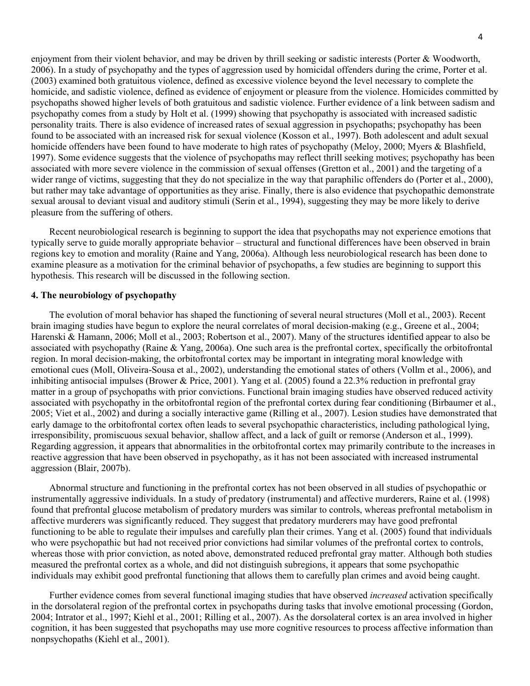enjoyment from their violent behavior, and may be driven by thrill seeking or sadistic interests (Porter & Woodworth, 2006). In a study of psychopathy and the types of aggression used by homicidal offenders during the crime, Porter et al. (2003) examined both gratuitous violence, defined as excessive violence beyond the level necessary to complete the homicide, and sadistic violence, defined as evidence of enjoyment or pleasure from the violence. Homicides committed by psychopaths showed higher levels of both gratuitous and sadistic violence. Further evidence of a link between sadism and psychopathy comes from a study by Holt et al. (1999) showing that psychopathy is associated with increased sadistic personality traits. There is also evidence of increased rates of sexual aggression in psychopaths; psychopathy has been found to be associated with an increased risk for sexual violence (Kosson et al., 1997). Both adolescent and adult sexual homicide offenders have been found to have moderate to high rates of psychopathy (Meloy, 2000; Myers & Blashfield, 1997). Some evidence suggests that the violence of psychopaths may reflect thrill seeking motives; psychopathy has been associated with more severe violence in the commission of sexual offenses (Gretton et al., 2001) and the targeting of a wider range of victims, suggesting that they do not specialize in the way that paraphilic offenders do (Porter et al., 2000), but rather may take advantage of opportunities as they arise. Finally, there is also evidence that psychopathic demonstrate sexual arousal to deviant visual and auditory stimuli (Serin et al., 1994), suggesting they may be more likely to derive pleasure from the suffering of others.

Recent neurobiological research is beginning to support the idea that psychopaths may not experience emotions that typically serve to guide morally appropriate behavior – structural and functional differences have been observed in brain regions key to emotion and morality (Raine and Yang, 2006a). Although less neurobiological research has been done to examine pleasure as a motivation for the criminal behavior of psychopaths, a few studies are beginning to support this hypothesis. This research will be discussed in the following section.

# **4. The neurobiology of psychopathy**

The evolution of moral behavior has shaped the functioning of several neural structures (Moll et al., 2003). Recent brain imaging studies have begun to explore the neural correlates of moral decision-making (e.g., Greene et al., 2004; Harenski & Hamann, 2006; Moll et al., 2003; Robertson et al., 2007). Many of the structures identified appear to also be associated with psychopathy (Raine & Yang, 2006a). One such area is the prefrontal cortex, specifically the orbitofrontal region. In moral decision-making, the orbitofrontal cortex may be important in integrating moral knowledge with emotional cues (Moll, Oliveira-Sousa et al., 2002), understanding the emotional states of others (Vollm et al., 2006), and inhibiting antisocial impulses (Brower & Price, 2001). Yang et al. (2005) found a 22.3% reduction in prefrontal gray matter in a group of psychopaths with prior convictions. Functional brain imaging studies have observed reduced activity associated with psychopathy in the orbitofrontal region of the prefrontal cortex during fear conditioning (Birbaumer et al., 2005; Viet et al., 2002) and during a socially interactive game (Rilling et al., 2007). Lesion studies have demonstrated that early damage to the orbitofrontal cortex often leads to several psychopathic characteristics, including pathological lying, irresponsibility, promiscuous sexual behavior, shallow affect, and a lack of guilt or remorse (Anderson et al., 1999). Regarding aggression, it appears that abnormalities in the orbitofrontal cortex may primarily contribute to the increases in reactive aggression that have been observed in psychopathy, as it has not been associated with increased instrumental aggression (Blair, 2007b).

Abnormal structure and functioning in the prefrontal cortex has not been observed in all studies of psychopathic or instrumentally aggressive individuals. In a study of predatory (instrumental) and affective murderers, Raine et al. (1998) found that prefrontal glucose metabolism of predatory murders was similar to controls, whereas prefrontal metabolism in affective murderers was significantly reduced. They suggest that predatory murderers may have good prefrontal functioning to be able to regulate their impulses and carefully plan their crimes. Yang et al. (2005) found that individuals who were psychopathic but had not received prior convictions had similar volumes of the prefrontal cortex to controls, whereas those with prior conviction, as noted above, demonstrated reduced prefrontal gray matter. Although both studies measured the prefrontal cortex as a whole, and did not distinguish subregions, it appears that some psychopathic individuals may exhibit good prefrontal functioning that allows them to carefully plan crimes and avoid being caught.

Further evidence comes from several functional imaging studies that have observed *increased* activation specifically in the dorsolateral region of the prefrontal cortex in psychopaths during tasks that involve emotional processing (Gordon, 2004; Intrator et al., 1997; Kiehl et al., 2001; Rilling et al., 2007). As the dorsolateral cortex is an area involved in higher cognition, it has been suggested that psychopaths may use more cognitive resources to process affective information than nonpsychopaths (Kiehl et al., 2001).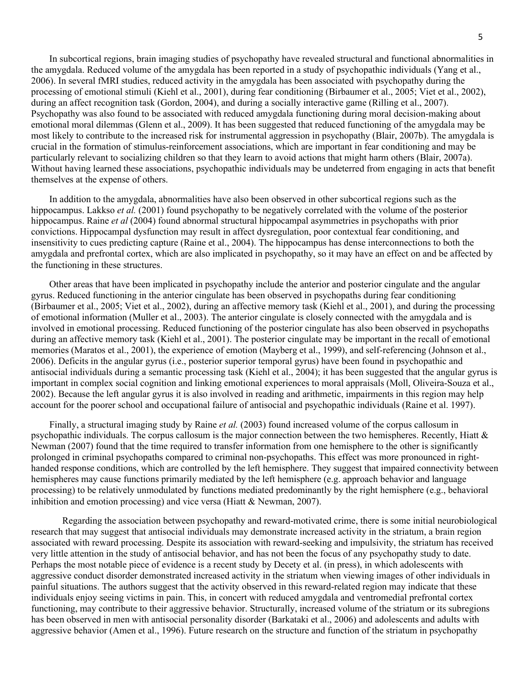In subcortical regions, brain imaging studies of psychopathy have revealed structural and functional abnormalities in the amygdala. Reduced volume of the amygdala has been reported in a study of psychopathic individuals (Yang et al., 2006). In several fMRI studies, reduced activity in the amygdala has been associated with psychopathy during the processing of emotional stimuli (Kiehl et al., 2001), during fear conditioning (Birbaumer et al., 2005; Viet et al., 2002), during an affect recognition task (Gordon, 2004), and during a socially interactive game (Rilling et al., 2007). Psychopathy was also found to be associated with reduced amygdala functioning during moral decision-making about emotional moral dilemmas (Glenn et al., 2009). It has been suggested that reduced functioning of the amygdala may be most likely to contribute to the increased risk for instrumental aggression in psychopathy (Blair, 2007b). The amygdala is crucial in the formation of stimulus-reinforcement associations, which are important in fear conditioning and may be particularly relevant to socializing children so that they learn to avoid actions that might harm others (Blair, 2007a). Without having learned these associations, psychopathic individuals may be undeterred from engaging in acts that benefit themselves at the expense of others.

In addition to the amygdala, abnormalities have also been observed in other subcortical regions such as the hippocampus. Lakkso *et al.* (2001) found psychopathy to be negatively correlated with the volume of the posterior hippocampus. Raine *et al* (2004) found abnormal structural hippocampal asymmetries in psychopaths with prior convictions. Hippocampal dysfunction may result in affect dysregulation, poor contextual fear conditioning, and insensitivity to cues predicting capture (Raine et al., 2004). The hippocampus has dense interconnections to both the amygdala and prefrontal cortex, which are also implicated in psychopathy, so it may have an effect on and be affected by the functioning in these structures.

Other areas that have been implicated in psychopathy include the anterior and posterior cingulate and the angular gyrus. Reduced functioning in the anterior cingulate has been observed in psychopaths during fear conditioning (Birbaumer et al., 2005; Viet et al., 2002), during an affective memory task (Kiehl et al., 2001), and during the processing of emotional information (Muller et al., 2003). The anterior cingulate is closely connected with the amygdala and is involved in emotional processing. Reduced functioning of the posterior cingulate has also been observed in psychopaths during an affective memory task (Kiehl et al., 2001). The posterior cingulate may be important in the recall of emotional memories (Maratos et al., 2001), the experience of emotion (Mayberg et al., 1999), and self-referencing (Johnson et al., 2006). Deficits in the angular gyrus (i.e., posterior superior temporal gyrus) have been found in psychopathic and antisocial individuals during a semantic processing task (Kiehl et al., 2004); it has been suggested that the angular gyrus is important in complex social cognition and linking emotional experiences to moral appraisals (Moll, Oliveira-Souza et al., 2002). Because the left angular gyrus it is also involved in reading and arithmetic, impairments in this region may help account for the poorer school and occupational failure of antisocial and psychopathic individuals (Raine et al. 1997).

Finally, a structural imaging study by Raine *et al.* (2003) found increased volume of the corpus callosum in psychopathic individuals. The corpus callosum is the major connection between the two hemispheres. Recently, Hiatt & Newman (2007) found that the time required to transfer information from one hemisphere to the other is significantly prolonged in criminal psychopaths compared to criminal non-psychopaths. This effect was more pronounced in righthanded response conditions, which are controlled by the left hemisphere. They suggest that impaired connectivity between hemispheres may cause functions primarily mediated by the left hemisphere (e.g. approach behavior and language processing) to be relatively unmodulated by functions mediated predominantly by the right hemisphere (e.g., behavioral inhibition and emotion processing) and vice versa (Hiatt & Newman, 2007).

Regarding the association between psychopathy and reward-motivated crime, there is some initial neurobiological research that may suggest that antisocial individuals may demonstrate increased activity in the striatum, a brain region associated with reward processing. Despite its association with reward-seeking and impulsivity, the striatum has received very little attention in the study of antisocial behavior, and has not been the focus of any psychopathy study to date. Perhaps the most notable piece of evidence is a recent study by Decety et al. (in press), in which adolescents with aggressive conduct disorder demonstrated increased activity in the striatum when viewing images of other individuals in painful situations. The authors suggest that the activity observed in this reward-related region may indicate that these individuals enjoy seeing victims in pain. This, in concert with reduced amygdala and ventromedial prefrontal cortex functioning, may contribute to their aggressive behavior. Structurally, increased volume of the striatum or its subregions has been observed in men with antisocial personality disorder (Barkataki et al., 2006) and adolescents and adults with aggressive behavior (Amen et al., 1996). Future research on the structure and function of the striatum in psychopathy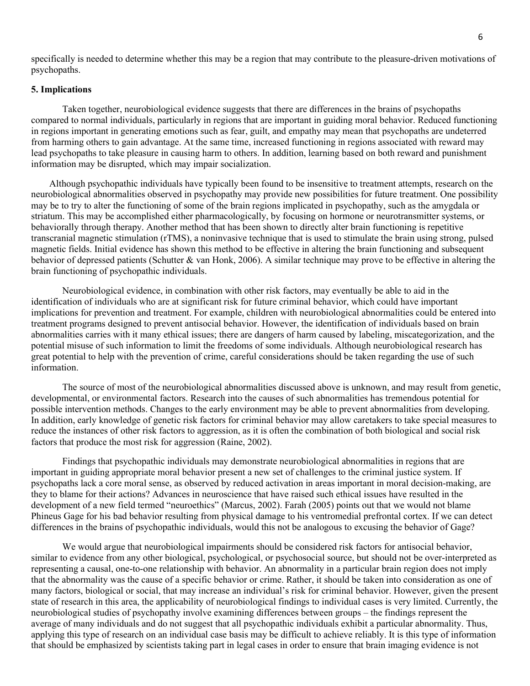specifically is needed to determine whether this may be a region that may contribute to the pleasure-driven motivations of psychopaths.

#### **5. Implications**

Taken together, neurobiological evidence suggests that there are differences in the brains of psychopaths compared to normal individuals, particularly in regions that are important in guiding moral behavior. Reduced functioning in regions important in generating emotions such as fear, guilt, and empathy may mean that psychopaths are undeterred from harming others to gain advantage. At the same time, increased functioning in regions associated with reward may lead psychopaths to take pleasure in causing harm to others. In addition, learning based on both reward and punishment information may be disrupted, which may impair socialization.

Although psychopathic individuals have typically been found to be insensitive to treatment attempts, research on the neurobiological abnormalities observed in psychopathy may provide new possibilities for future treatment. One possibility may be to try to alter the functioning of some of the brain regions implicated in psychopathy, such as the amygdala or striatum. This may be accomplished either pharmacologically, by focusing on hormone or neurotransmitter systems, or behaviorally through therapy. Another method that has been shown to directly alter brain functioning is repetitive transcranial magnetic stimulation (rTMS), a noninvasive technique that is used to stimulate the brain using strong, pulsed magnetic fields. Initial evidence has shown this method to be effective in altering the brain functioning and subsequent behavior of depressed patients (Schutter & van Honk, 2006). A similar technique may prove to be effective in altering the brain functioning of psychopathic individuals.

Neurobiological evidence, in combination with other risk factors, may eventually be able to aid in the identification of individuals who are at significant risk for future criminal behavior, which could have important implications for prevention and treatment. For example, children with neurobiological abnormalities could be entered into treatment programs designed to prevent antisocial behavior. However, the identification of individuals based on brain abnormalities carries with it many ethical issues; there are dangers of harm caused by labeling, miscategorization, and the potential misuse of such information to limit the freedoms of some individuals. Although neurobiological research has great potential to help with the prevention of crime, careful considerations should be taken regarding the use of such information.

The source of most of the neurobiological abnormalities discussed above is unknown, and may result from genetic, developmental, or environmental factors. Research into the causes of such abnormalities has tremendous potential for possible intervention methods. Changes to the early environment may be able to prevent abnormalities from developing. In addition, early knowledge of genetic risk factors for criminal behavior may allow caretakers to take special measures to reduce the instances of other risk factors to aggression, as it is often the combination of both biological and social risk factors that produce the most risk for aggression (Raine, 2002).

Findings that psychopathic individuals may demonstrate neurobiological abnormalities in regions that are important in guiding appropriate moral behavior present a new set of challenges to the criminal justice system. If psychopaths lack a core moral sense, as observed by reduced activation in areas important in moral decision-making, are they to blame for their actions? Advances in neuroscience that have raised such ethical issues have resulted in the development of a new field termed "neuroethics" (Marcus, 2002). Farah (2005) points out that we would not blame Phineus Gage for his bad behavior resulting from physical damage to his ventromedial prefrontal cortex. If we can detect differences in the brains of psychopathic individuals, would this not be analogous to excusing the behavior of Gage?

We would argue that neurobiological impairments should be considered risk factors for antisocial behavior, similar to evidence from any other biological, psychological, or psychosocial source, but should not be over-interpreted as representing a causal, one-to-one relationship with behavior. An abnormality in a particular brain region does not imply that the abnormality was the cause of a specific behavior or crime. Rather, it should be taken into consideration as one of many factors, biological or social, that may increase an individual's risk for criminal behavior. However, given the present state of research in this area, the applicability of neurobiological findings to individual cases is very limited. Currently, the neurobiological studies of psychopathy involve examining differences between groups – the findings represent the average of many individuals and do not suggest that all psychopathic individuals exhibit a particular abnormality. Thus, applying this type of research on an individual case basis may be difficult to achieve reliably. It is this type of information that should be emphasized by scientists taking part in legal cases in order to ensure that brain imaging evidence is not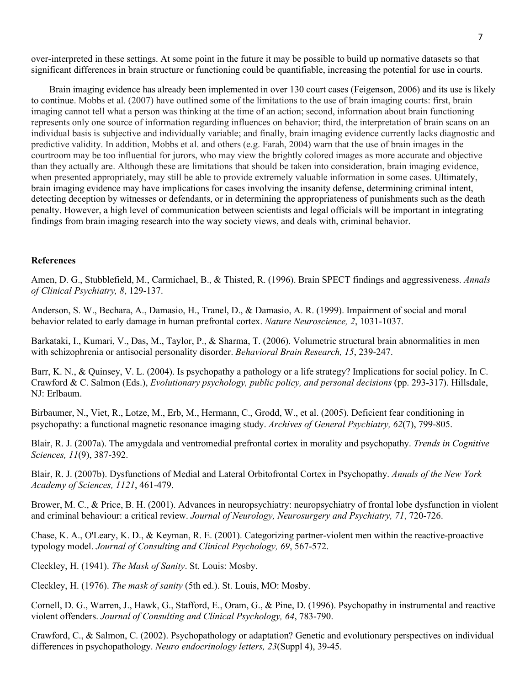over-interpreted in these settings. At some point in the future it may be possible to build up normative datasets so that significant differences in brain structure or functioning could be quantifiable, increasing the potential for use in courts.

Brain imaging evidence has already been implemented in over 130 court cases (Feigenson, 2006) and its use is likely to continue. Mobbs et al. (2007) have outlined some of the limitations to the use of brain imaging courts: first, brain imaging cannot tell what a person was thinking at the time of an action; second, information about brain functioning represents only one source of information regarding influences on behavior; third, the interpretation of brain scans on an individual basis is subjective and individually variable; and finally, brain imaging evidence currently lacks diagnostic and predictive validity. In addition, Mobbs et al. and others (e.g. Farah, 2004) warn that the use of brain images in the courtroom may be too influential for jurors, who may view the brightly colored images as more accurate and objective than they actually are. Although these are limitations that should be taken into consideration, brain imaging evidence, when presented appropriately, may still be able to provide extremely valuable information in some cases. Ultimately, brain imaging evidence may have implications for cases involving the insanity defense, determining criminal intent, detecting deception by witnesses or defendants, or in determining the appropriateness of punishments such as the death penalty. However, a high level of communication between scientists and legal officials will be important in integrating findings from brain imaging research into the way society views, and deals with, criminal behavior.

### **References**

Amen, D. G., Stubblefield, M., Carmichael, B., & Thisted, R. (1996). Brain SPECT findings and aggressiveness. *Annals of Clinical Psychiatry, 8*, 129-137.

Anderson, S. W., Bechara, A., Damasio, H., Tranel, D., & Damasio, A. R. (1999). Impairment of social and moral behavior related to early damage in human prefrontal cortex. *Nature Neuroscience, 2*, 1031-1037.

Barkataki, I., Kumari, V., Das, M., Taylor, P., & Sharma, T. (2006). Volumetric structural brain abnormalities in men with schizophrenia or antisocial personality disorder. *Behavioral Brain Research, 15*, 239-247.

Barr, K. N., & Quinsey, V. L. (2004). Is psychopathy a pathology or a life strategy? Implications for social policy. In C. Crawford & C. Salmon (Eds.), *Evolutionary psychology, public policy, and personal decisions* (pp. 293-317). Hillsdale, NJ: Erlbaum.

Birbaumer, N., Viet, R., Lotze, M., Erb, M., Hermann, C., Grodd, W., et al. (2005). Deficient fear conditioning in psychopathy: a functional magnetic resonance imaging study. *Archives of General Psychiatry, 62*(7), 799-805.

Blair, R. J. (2007a). The amygdala and ventromedial prefrontal cortex in morality and psychopathy. *Trends in Cognitive Sciences, 11*(9), 387-392.

Blair, R. J. (2007b). Dysfunctions of Medial and Lateral Orbitofrontal Cortex in Psychopathy. *Annals of the New York Academy of Sciences, 1121*, 461-479.

Brower, M. C., & Price, B. H. (2001). Advances in neuropsychiatry: neuropsychiatry of frontal lobe dysfunction in violent and criminal behaviour: a critical review. *Journal of Neurology, Neurosurgery and Psychiatry, 71*, 720-726.

Chase, K. A., O'Leary, K. D., & Keyman, R. E. (2001). Categorizing partner-violent men within the reactive-proactive typology model. *Journal of Consulting and Clinical Psychology, 69*, 567-572.

Cleckley, H. (1941). *The Mask of Sanity*. St. Louis: Mosby.

Cleckley, H. (1976). *The mask of sanity* (5th ed.). St. Louis, MO: Mosby.

Cornell, D. G., Warren, J., Hawk, G., Stafford, E., Oram, G., & Pine, D. (1996). Psychopathy in instrumental and reactive violent offenders. *Journal of Consulting and Clinical Psychology, 64*, 783-790.

Crawford, C., & Salmon, C. (2002). Psychopathology or adaptation? Genetic and evolutionary perspectives on individual differences in psychopathology. *Neuro endocrinology letters, 23*(Suppl 4), 39-45.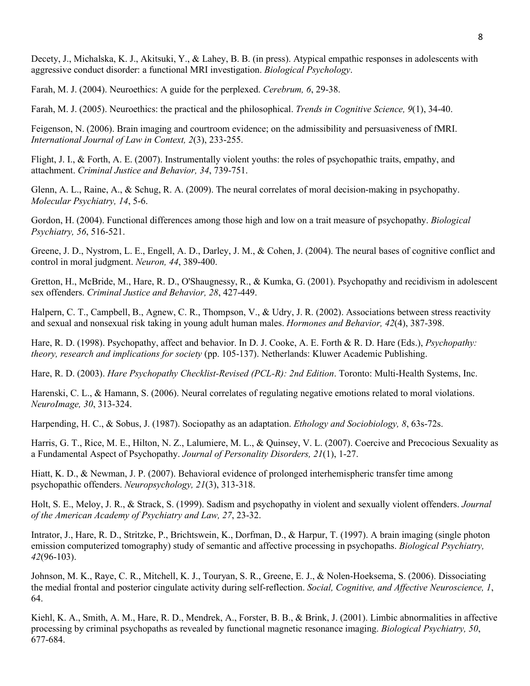Decety, J., Michalska, K. J., Akitsuki, Y., & Lahey, B. B. (in press). Atypical empathic responses in adolescents with aggressive conduct disorder: a functional MRI investigation. *Biological Psychology*.

Farah, M. J. (2004). Neuroethics: A guide for the perplexed. *Cerebrum, 6*, 29-38.

Farah, M. J. (2005). Neuroethics: the practical and the philosophical. *Trends in Cognitive Science, 9*(1), 34-40.

Feigenson, N. (2006). Brain imaging and courtroom evidence; on the admissibility and persuasiveness of fMRI. *International Journal of Law in Context, 2*(3), 233-255.

Flight, J. I., & Forth, A. E. (2007). Instrumentally violent youths: the roles of psychopathic traits, empathy, and attachment. *Criminal Justice and Behavior, 34*, 739-751.

Glenn, A. L., Raine, A., & Schug, R. A. (2009). The neural correlates of moral decision-making in psychopathy. *Molecular Psychiatry, 14*, 5-6.

Gordon, H. (2004). Functional differences among those high and low on a trait measure of psychopathy. *Biological Psychiatry, 56*, 516-521.

Greene, J. D., Nystrom, L. E., Engell, A. D., Darley, J. M., & Cohen, J. (2004). The neural bases of cognitive conflict and control in moral judgment. *Neuron, 44*, 389-400.

Gretton, H., McBride, M., Hare, R. D., O'Shaugnessy, R., & Kumka, G. (2001). Psychopathy and recidivism in adolescent sex offenders. *Criminal Justice and Behavior, 28*, 427-449.

Halpern, C. T., Campbell, B., Agnew, C. R., Thompson, V., & Udry, J. R. (2002). Associations between stress reactivity and sexual and nonsexual risk taking in young adult human males. *Hormones and Behavior, 42*(4), 387-398.

Hare, R. D. (1998). Psychopathy, affect and behavior. In D. J. Cooke, A. E. Forth & R. D. Hare (Eds.), *Psychopathy: theory, research and implications for society* (pp. 105-137). Netherlands: Kluwer Academic Publishing.

Hare, R. D. (2003). *Hare Psychopathy Checklist-Revised (PCL-R): 2nd Edition*. Toronto: Multi-Health Systems, Inc.

Harenski, C. L., & Hamann, S. (2006). Neural correlates of regulating negative emotions related to moral violations. *NeuroImage, 30*, 313-324.

Harpending, H. C., & Sobus, J. (1987). Sociopathy as an adaptation. *Ethology and Sociobiology, 8*, 63s-72s.

Harris, G. T., Rice, M. E., Hilton, N. Z., Lalumiere, M. L., & Quinsey, V. L. (2007). Coercive and Precocious Sexuality as a Fundamental Aspect of Psychopathy. *Journal of Personality Disorders, 21*(1), 1-27.

Hiatt, K. D., & Newman, J. P. (2007). Behavioral evidence of prolonged interhemispheric transfer time among psychopathic offenders. *Neuropsychology, 21*(3), 313-318.

Holt, S. E., Meloy, J. R., & Strack, S. (1999). Sadism and psychopathy in violent and sexually violent offenders. *Journal of the American Academy of Psychiatry and Law, 27*, 23-32.

Intrator, J., Hare, R. D., Stritzke, P., Brichtswein, K., Dorfman, D., & Harpur, T. (1997). A brain imaging (single photon emission computerized tomography) study of semantic and affective processing in psychopaths. *Biological Psychiatry, 42*(96-103).

Johnson, M. K., Raye, C. R., Mitchell, K. J., Touryan, S. R., Greene, E. J., & Nolen-Hoeksema, S. (2006). Dissociating the medial frontal and posterior cingulate activity during self-reflection. *Social, Cognitive, and Affective Neuroscience, 1*, 64.

Kiehl, K. A., Smith, A. M., Hare, R. D., Mendrek, A., Forster, B. B., & Brink, J. (2001). Limbic abnormalities in affective processing by criminal psychopaths as revealed by functional magnetic resonance imaging. *Biological Psychiatry, 50*, 677-684.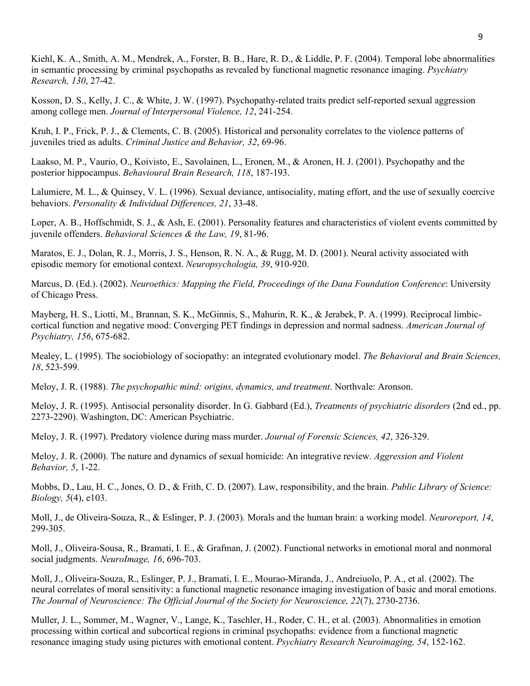Kiehl, K. A., Smith, A. M., Mendrek, A., Forster, B. B., Hare, R. D., & Liddle, P. F. (2004). Temporal lobe abnormalities in semantic processing by criminal psychopaths as revealed by functional magnetic resonance imaging. *Psychiatry Research, 130*, 27-42.

Kosson, D. S., Kelly, J. C., & White, J. W. (1997). Psychopathy-related traits predict self-reported sexual aggression among college men. *Journal of Interpersonal Violence, 12*, 241-254.

Kruh, I. P., Frick, P. J., & Clements, C. B. (2005). Historical and personality correlates to the violence patterns of juveniles tried as adults. *Criminal Justice and Behavior, 32*, 69-96.

Laakso, M. P., Vaurio, O., Koivisto, E., Savolainen, L., Eronen, M., & Aronen, H. J. (2001). Psychopathy and the posterior hippocampus. *Behavioural Brain Research, 118*, 187-193.

Lalumiere, M. L., & Quinsey, V. L. (1996). Sexual deviance, antisociality, mating effort, and the use of sexually coercive behaviors. *Personality & Individual Differences, 21*, 33-48.

Loper, A. B., Hoffschmidt, S. J., & Ash, E. (2001). Personality features and characteristics of violent events committed by juvenile offenders. *Behavioral Sciences & the Law, 19*, 81-96.

Maratos, E. J., Dolan, R. J., Morris, J. S., Henson, R. N. A., & Rugg, M. D. (2001). Neural activity associated with episodic memory for emotional context. *Neuropsychologia, 39*, 910-920.

Marcus, D. (Ed.). (2002). *Neuroethics: Mapping the Field, Proceedings of the Dana Foundation Conference*: University of Chicago Press.

Mayberg, H. S., Liotti, M., Brannan, S. K., McGinnis, S., Mahurin, R. K., & Jerabek, P. A. (1999). Reciprocal limbiccortical function and negative mood: Converging PET findings in depression and normal sadness. *American Journal of Psychiatry, 156*, 675-682.

Mealey, L. (1995). The sociobiology of sociopathy: an integrated evolutionary model. *The Behavioral and Brain Sciences, 18*, 523-599.

Meloy, J. R. (1988). *The psychopathic mind: origins, dynamics, and treatment*. Northvale: Aronson.

Meloy, J. R. (1995). Antisocial personality disorder. In G. Gabbard (Ed.), *Treatments of psychiatric disorders* (2nd ed., pp. 2273-2290). Washington, DC: American Psychiatric.

Meloy, J. R. (1997). Predatory violence during mass murder. *Journal of Forensic Sciences, 42*, 326-329.

Meloy, J. R. (2000). The nature and dynamics of sexual homicide: An integrative review. *Aggression and Violent Behavior, 5*, 1-22.

Mobbs, D., Lau, H. C., Jones, O. D., & Frith, C. D. (2007). Law, responsibility, and the brain. *Public Library of Science: Biology, 5*(4), e103.

Moll, J., de Oliveira-Souza, R., & Eslinger, P. J. (2003). Morals and the human brain: a working model. *Neuroreport, 14*, 299-305.

Moll, J., Oliveira-Sousa, R., Bramati, I. E., & Grafman, J. (2002). Functional networks in emotional moral and nonmoral social judgments. *NeuroImage, 16*, 696-703.

Moll, J., Oliveira-Souza, R., Eslinger, P. J., Bramati, I. E., Mourao-Miranda, J., Andreiuolo, P. A., et al. (2002). The neural correlates of moral sensitivity: a functional magnetic resonance imaging investigation of basic and moral emotions. *The Journal of Neuroscience: The Official Journal of the Society for Neuroscience, 22*(7), 2730-2736.

Muller, J. L., Sommer, M., Wagner, V., Lange, K., Taschler, H., Roder, C. H., et al. (2003). Abnormalities in emotion processing within cortical and subcortical regions in criminal psychopaths: evidence from a functional magnetic resonance imaging study using pictures with emotional content. *Psychiatry Research Neuroimaging, 54*, 152-162.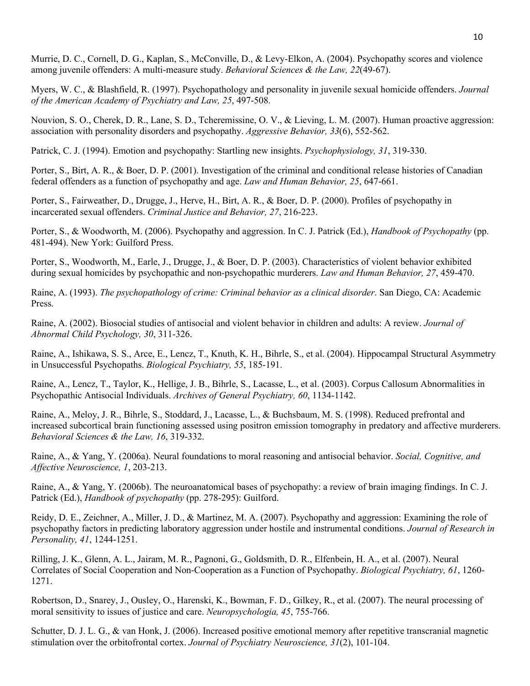Murrie, D. C., Cornell, D. G., Kaplan, S., McConville, D., & Levy-Elkon, A. (2004). Psychopathy scores and violence among juvenile offenders: A multi-measure study. *Behavioral Sciences & the Law, 22*(49-67).

Myers, W. C., & Blashfield, R. (1997). Psychopathology and personality in juvenile sexual homicide offenders. *Journal of the American Academy of Psychiatry and Law, 25*, 497-508.

Nouvion, S. O., Cherek, D. R., Lane, S. D., Tcheremissine, O. V., & Lieving, L. M. (2007). Human proactive aggression: association with personality disorders and psychopathy. *Aggressive Behavior, 33*(6), 552-562.

Patrick, C. J. (1994). Emotion and psychopathy: Startling new insights. *Psychophysiology, 31*, 319-330.

Porter, S., Birt, A. R., & Boer, D. P. (2001). Investigation of the criminal and conditional release histories of Canadian federal offenders as a function of psychopathy and age. *Law and Human Behavior, 25*, 647-661.

Porter, S., Fairweather, D., Drugge, J., Herve, H., Birt, A. R., & Boer, D. P. (2000). Profiles of psychopathy in incarcerated sexual offenders. *Criminal Justice and Behavior, 27*, 216-223.

Porter, S., & Woodworth, M. (2006). Psychopathy and aggression. In C. J. Patrick (Ed.), *Handbook of Psychopathy* (pp. 481-494). New York: Guilford Press.

Porter, S., Woodworth, M., Earle, J., Drugge, J., & Boer, D. P. (2003). Characteristics of violent behavior exhibited during sexual homicides by psychopathic and non-psychopathic murderers. *Law and Human Behavior, 27*, 459-470.

Raine, A. (1993). *The psychopathology of crime: Criminal behavior as a clinical disorder*. San Diego, CA: Academic Press.

Raine, A. (2002). Biosocial studies of antisocial and violent behavior in children and adults: A review. *Journal of Abnormal Child Psychology, 30*, 311-326.

Raine, A., Ishikawa, S. S., Arce, E., Lencz, T., Knuth, K. H., Bihrle, S., et al. (2004). Hippocampal Structural Asymmetry in Unsuccessful Psychopaths. *Biological Psychiatry, 55*, 185-191.

Raine, A., Lencz, T., Taylor, K., Hellige, J. B., Bihrle, S., Lacasse, L., et al. (2003). Corpus Callosum Abnormalities in Psychopathic Antisocial Individuals. *Archives of General Psychiatry, 60*, 1134-1142.

Raine, A., Meloy, J. R., Bihrle, S., Stoddard, J., Lacasse, L., & Buchsbaum, M. S. (1998). Reduced prefrontal and increased subcortical brain functioning assessed using positron emission tomography in predatory and affective murderers. *Behavioral Sciences & the Law, 16*, 319-332.

Raine, A., & Yang, Y. (2006a). Neural foundations to moral reasoning and antisocial behavior. *Social, Cognitive, and Affective Neuroscience, 1*, 203-213.

Raine, A., & Yang, Y. (2006b). The neuroanatomical bases of psychopathy: a review of brain imaging findings. In C. J. Patrick (Ed.), *Handbook of psychopathy* (pp. 278-295): Guilford.

Reidy, D. E., Zeichner, A., Miller, J. D., & Martinez, M. A. (2007). Psychopathy and aggression: Examining the role of psychopathy factors in predicting laboratory aggression under hostile and instrumental conditions. *Journal of Research in Personality, 41*, 1244-1251.

Rilling, J. K., Glenn, A. L., Jairam, M. R., Pagnoni, G., Goldsmith, D. R., Elfenbein, H. A., et al. (2007). Neural Correlates of Social Cooperation and Non-Cooperation as a Function of Psychopathy. *Biological Psychiatry, 61*, 1260- 1271.

Robertson, D., Snarey, J., Ousley, O., Harenski, K., Bowman, F. D., Gilkey, R., et al. (2007). The neural processing of moral sensitivity to issues of justice and care. *Neuropsychologia, 45*, 755-766.

Schutter, D. J. L. G., & van Honk, J. (2006). Increased positive emotional memory after repetitive transcranial magnetic stimulation over the orbitofrontal cortex. *Journal of Psychiatry Neuroscience, 31*(2), 101-104.